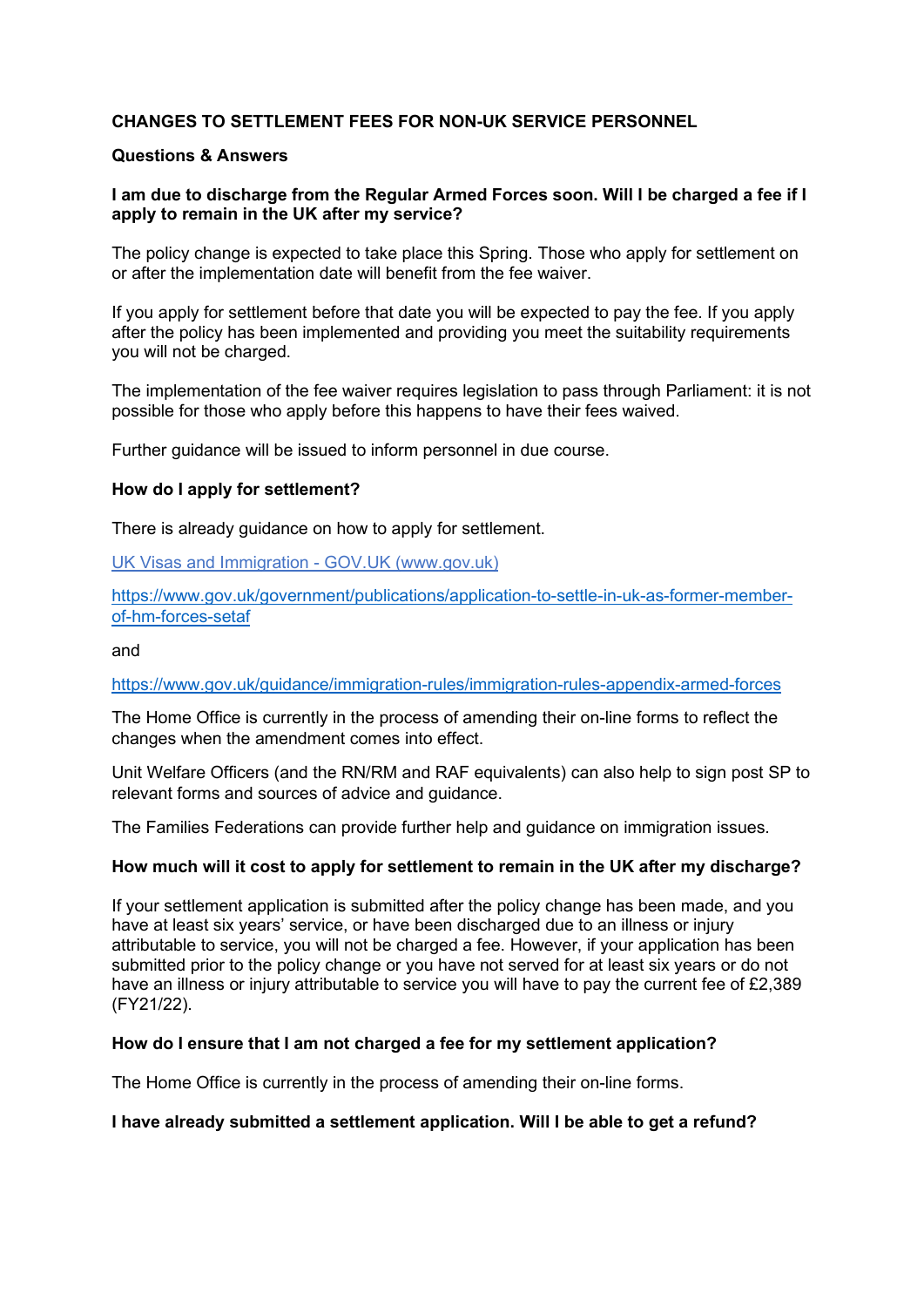# **CHANGES TO SETTLEMENT FEES FOR NON-UK SERVICE PERSONNEL**

## **Questions & Answers**

# **I am due to discharge from the Regular Armed Forces soon. Will I be charged a fee if I apply to remain in the UK after my service?**

The policy change is expected to take place this Spring. Those who apply for settlement on or after the implementation date will benefit from the fee waiver.

If you apply for settlement before that date you will be expected to pay the fee. If you apply after the policy has been implemented and providing you meet the suitability requirements you will not be charged.

The implementation of the fee waiver requires legislation to pass through Parliament: it is not possible for those who apply before this happens to have their fees waived.

Further guidance will be issued to inform personnel in due course.

# **How do I apply for settlement?**

There is already guidance on how to apply for settlement.

[UK Visas and Immigration - GOV.UK \(www.gov.uk\)](https://www.gov.uk/government/organisations/uk-visas-and-immigration)

[https://www.gov.uk/government/publications/application-to-settle-in-uk-as-former-member](https://www.gov.uk/government/publications/application-to-settle-in-uk-as-former-member-of-hm-forces-setaf)[of-hm-forces-setaf](https://www.gov.uk/government/publications/application-to-settle-in-uk-as-former-member-of-hm-forces-setaf) 

and

<https://www.gov.uk/guidance/immigration-rules/immigration-rules-appendix-armed-forces>

The Home Office is currently in the process of amending their on-line forms to reflect the changes when the amendment comes into effect.

Unit Welfare Officers (and the RN/RM and RAF equivalents) can also help to sign post SP to relevant forms and sources of advice and guidance.

The Families Federations can provide further help and guidance on immigration issues.

# **How much will it cost to apply for settlement to remain in the UK after my discharge?**

If your settlement application is submitted after the policy change has been made, and you have at least six years' service, or have been discharged due to an illness or injury attributable to service, you will not be charged a fee. However, if your application has been submitted prior to the policy change or you have not served for at least six years or do not have an illness or injury attributable to service you will have to pay the current fee of £2,389 (FY21/22).

#### **How do I ensure that I am not charged a fee for my settlement application?**

The Home Office is currently in the process of amending their on-line forms.

### **I have already submitted a settlement application. Will I be able to get a refund?**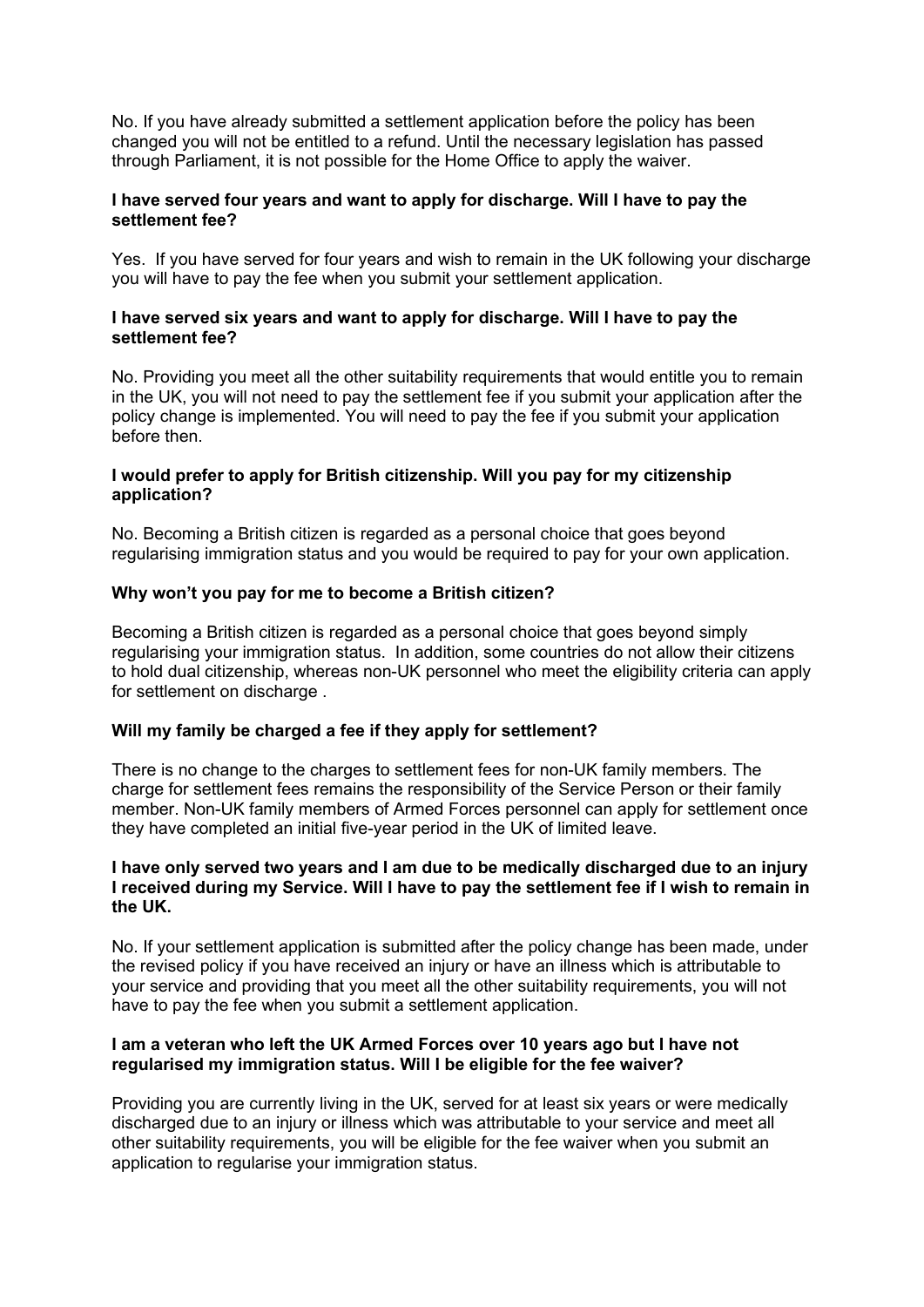No. If you have already submitted a settlement application before the policy has been changed you will not be entitled to a refund. Until the necessary legislation has passed through Parliament, it is not possible for the Home Office to apply the waiver.

## **I have served four years and want to apply for discharge. Will I have to pay the settlement fee?**

Yes. If you have served for four years and wish to remain in the UK following your discharge you will have to pay the fee when you submit your settlement application.

## **I have served six years and want to apply for discharge. Will I have to pay the settlement fee?**

No. Providing you meet all the other suitability requirements that would entitle you to remain in the UK, you will not need to pay the settlement fee if you submit your application after the policy change is implemented. You will need to pay the fee if you submit your application before then

# **I would prefer to apply for British citizenship. Will you pay for my citizenship application?**

No. Becoming a British citizen is regarded as a personal choice that goes beyond regularising immigration status and you would be required to pay for your own application.

## **Why won't you pay for me to become a British citizen?**

Becoming a British citizen is regarded as a personal choice that goes beyond simply regularising your immigration status. In addition, some countries do not allow their citizens to hold dual citizenship, whereas non-UK personnel who meet the eligibility criteria can apply for settlement on discharge .

# **Will my family be charged a fee if they apply for settlement?**

There is no change to the charges to settlement fees for non-UK family members. The charge for settlement fees remains the responsibility of the Service Person or their family member. Non-UK family members of Armed Forces personnel can apply for settlement once they have completed an initial five-year period in the UK of limited leave.

### **I have only served two years and I am due to be medically discharged due to an injury I received during my Service. Will I have to pay the settlement fee if I wish to remain in the UK.**

No. If your settlement application is submitted after the policy change has been made, under the revised policy if you have received an injury or have an illness which is attributable to your service and providing that you meet all the other suitability requirements, you will not have to pay the fee when you submit a settlement application.

## **I am a veteran who left the UK Armed Forces over 10 years ago but I have not regularised my immigration status. Will I be eligible for the fee waiver?**

Providing you are currently living in the UK, served for at least six years or were medically discharged due to an injury or illness which was attributable to your service and meet all other suitability requirements, you will be eligible for the fee waiver when you submit an application to regularise your immigration status.